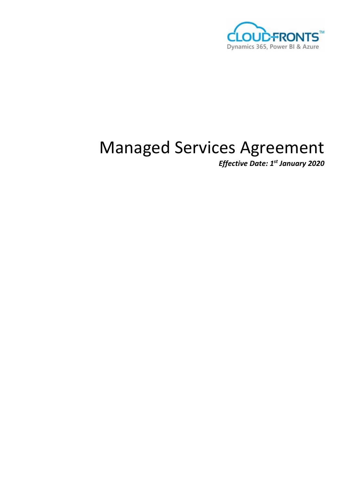

# Managed Services Agreement

*Effective Date: 1st January 2020*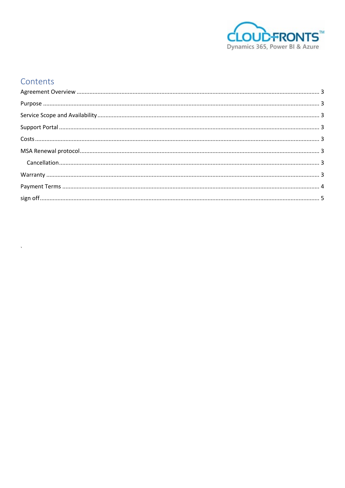

# Contents

 $\bar{\lambda}$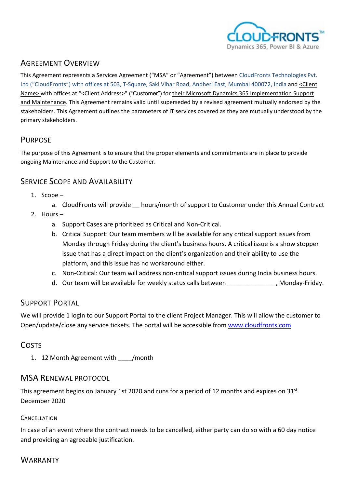

## <span id="page-2-0"></span>AGREEMENT OVERVIEW

This Agreement represents a Services Agreement ("MSA" or "Agreement") between CloudFronts Technologies Pvt. Ltd ("CloudFronts") with offices at 503, T-Square, Saki Vihar Road, Andheri East, Mumbai 400072, India and <Client Name> with offices at "<Client Address>" ("Customer") for their Microsoft Dynamics 365 Implementation Support and Maintenance. This Agreement remains valid until superseded by a revised agreement mutually endorsed by the stakeholders. This Agreement outlines the parameters of IT services covered as they are mutually understood by the primary stakeholders.

# <span id="page-2-1"></span>PURPOSE

The purpose of this Agreement is to ensure that the proper elements and commitments are in place to provide ongoing Maintenance and Support to the Customer.

#### <span id="page-2-2"></span>SERVICE SCOPE AND AVAILABILITY

- 1. Scope
	- a. CloudFronts will provide hours/month of support to Customer under this Annual Contract
- 2. Hours
	- a. Support Cases are prioritized as Critical and Non-Critical.
	- b. Critical Support: Our team members will be available for any critical support issues from Monday through Friday during the client's business hours. A critical issue is a show stopper issue that has a direct impact on the client's organization and their ability to use the platform, and this issue has no workaround either.
	- c. Non-Critical: Our team will address non-critical support issues during India business hours.
	- d. Our team will be available for weekly status calls between exaction of the Monday-Friday.

#### <span id="page-2-3"></span>SUPPORT PORTAL

We will provide 1 login to our Support Portal to the client Project Manager. This will allow the customer to Open/update/close any service tickets. The portal will be accessible from [www.cloudfronts.com](http://www.cloudfronts.com/)

#### <span id="page-2-4"></span>**COSTS**

1. 12 Month Agreement with / month

#### <span id="page-2-5"></span>MSA RENEWAL PROTOCOL

This agreement begins on January 1st 2020 and runs for a period of 12 months and expires on  $31<sup>st</sup>$ December 2020

#### <span id="page-2-6"></span>**CANCELLATION**

In case of an event where the contract needs to be cancelled, either party can do so with a 60 day notice and providing an agreeable justification.

#### <span id="page-2-7"></span>**WARRANTY**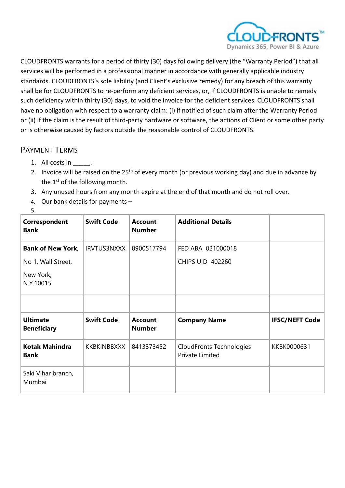

CLOUDFRONTS warrants for a period of thirty (30) days following delivery (the "Warranty Period") that all services will be performed in a professional manner in accordance with generally applicable industry standards. CLOUDFRONTS's sole liability (and Client's exclusive remedy) for any breach of this warranty shall be for CLOUDFRONTS to re-perform any deficient services, or, if CLOUDFRONTS is unable to remedy such deficiency within thirty (30) days, to void the invoice for the deficient services. CLOUDFRONTS shall have no obligation with respect to a warranty claim: (i) if notified of such claim after the Warranty Period or (ii) if the claim is the result of third-party hardware or software, the actions of Client or some other party or is otherwise caused by factors outside the reasonable control of CLOUDFRONTS.

## <span id="page-3-0"></span>PAYMENT TERMS

- 1. All costs in \_\_\_\_\_.
- 2. Invoice will be raised on the 25<sup>th</sup> of every month (or previous working day) and due in advance by the  $1<sup>st</sup>$  of the following month.
- 3. Any unused hours from any month expire at the end of that month and do not roll over.
- 4. Our bank details for payments –

| Correspondent<br><b>Bank</b>                                             | <b>Swift Code</b>                       | <b>Account</b><br><b>Number</b>               | <b>Additional Details</b>                              |                                      |
|--------------------------------------------------------------------------|-----------------------------------------|-----------------------------------------------|--------------------------------------------------------|--------------------------------------|
| <b>Bank of New York,</b><br>No 1, Wall Street,<br>New York,<br>N.Y.10015 | <b>IRVTUS3NXXX</b>                      | 8900517794                                    | FED ABA 021000018<br><b>CHIPS UID 402260</b>           |                                      |
| <b>Ultimate</b><br><b>Beneficiary</b><br><b>Kotak Mahindra</b>           | <b>Swift Code</b><br><b>KKBKINBBXXX</b> | <b>Account</b><br><b>Number</b><br>8413373452 | <b>Company Name</b><br><b>CloudFronts Technologies</b> | <b>IFSC/NEFT Code</b><br>KKBK0000631 |
| <b>Bank</b><br>Saki Vihar branch,<br>Mumbai                              |                                         |                                               | Private Limited                                        |                                      |